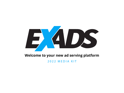

## **Welcome to your new ad serving platform**

2022 MEDIA KIT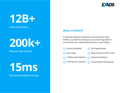

# **12B+**

Daily impressions



Requests per second

**15ms**

Ad serving request average

### **What is EXADS?**

Trusted by networks, advertisers and publishers alike, EXADS is a powerful and easy to use ad-serving platform that will take your advertising business to new heights.

- $\sqrt{\phantom{a}}$  Secure & Reliable  $\sqrt{\phantom{a}}$  Go Programmatic
	-

 $\sqrt{\phantom{a}}$  Easy Setup

- $\sqrt{\phantom{a}}$  Wide Variety of Ad Formats
- A White-Label Solution  $\sqrt{\phantom{a}}$  Advanced Statistics
- A Self-Service Solution  $\sqrt{\checkmark}$  Customizable Dashboards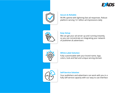



#### **Secure & Reliable**

99.9% uptime with lightning fast ad responses. Robust platform serving 12+ billion ad impressions daily



#### **Easy Setup**

We can get your ad server up and running instantly, so you can concentrate on integrating your network of publishers & advertisers



#### **White-Label Solution**

Fully customizable with your brand name, logo, colors, look and feel and unique serving domain



#### **Self-Service Solution**

Your publishers and advertisers can work with you in a fully self-service capacity with our easy to use interface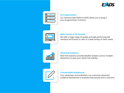

| $\blacksquare$ |   |
|----------------|---|
|                | ÷ |
|                |   |
|                |   |

#### **Go Programmatic**

Our Demand Side Platform (DSP) allows you to plug in your programmatic inventory

#### **Wide Variety of Ad Formats**

We offer a huge range of quality and high performing IAB standard ad formats to cater to a wide variety of client needs



#### **Advanced Statistics**

Real-time statistics provide detailed analytics across multiple dimensions to give your clients full visibility



#### **Customizable Dashboards**

Your advertisers and publishers can customize advanced analytical dashboards to evaluate data quickly and in real-time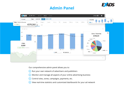## **Admin Panel**





Our comprehensive admin panel allows you to:

- $\heartsuit$  Run your own network of advertisers and publishers
- $\vee$  Monitor and manage all aspects of your online advertising business
- $\bigcirc$  Control sites, zones, campaigns, payments, etc.
- $\heartsuit$  View real-time statistics and customized dashboards for your ad network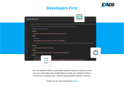## **Developers First**



| <b>PI</b>                                                                                                                                                                                                                            |  |
|--------------------------------------------------------------------------------------------------------------------------------------------------------------------------------------------------------------------------------------|--|
| d test_ScenarioRetrieveFirstCircuitFor2020SeasonAndGetCountry_ShouldBeAustralia() {<br>retrieve the circuit ID for the first circuit of the 2017 season<br>$circuitId = given()$ .<br>http://ergast.com/api/f1/2017/circuits.json"). |  |
| $ct()$ .<br>("MRData.CircuitTable.Circuits.circuitId[0]");<br>Then, retrieve the information known for that circuit and verify it is located in Australia                                                                            |  |
| Param("circuitId",circuitId).                                                                                                                                                                                                        |  |
| http://ergast.com/api/f1/circuits/{circuitId}.json").                                                                                                                                                                                |  |

#### **Automation A**

public vo // First String when() get(' then(). extra path

 $14$ then(). 15 assertThat( body("MRD 16

 $\overline{\phantom{a}}$ 

**API** 

ىپ

given() path

when()

get(

 $10$ 

 $12$ 

13

.Circuits.Location[0].country",equalTo("Australia"));

Use our powerful APIs to automate repetitive tasks to save you time. You can automate every single feature inside your Network Admin Panel from creating users to generating detailed statistics reports.

Check out our documentation **[here.](https://docs.exads.com/docs/api-manual-overview/)**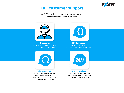

## **Full customer support**

At EXADS, we believe that it's important to work closely together with all our clients.



You will be onboarded by one of our Customer Success Managers **Onboarding**



You will get full technical support throughout your lifetime with EXADS **Lifetime support**



We will update you about any new platform upgrades and provide documentation for your advertisers and publishers **Always updated**



Our team is here to help with anything you need from technical integration to business advice **Always available**